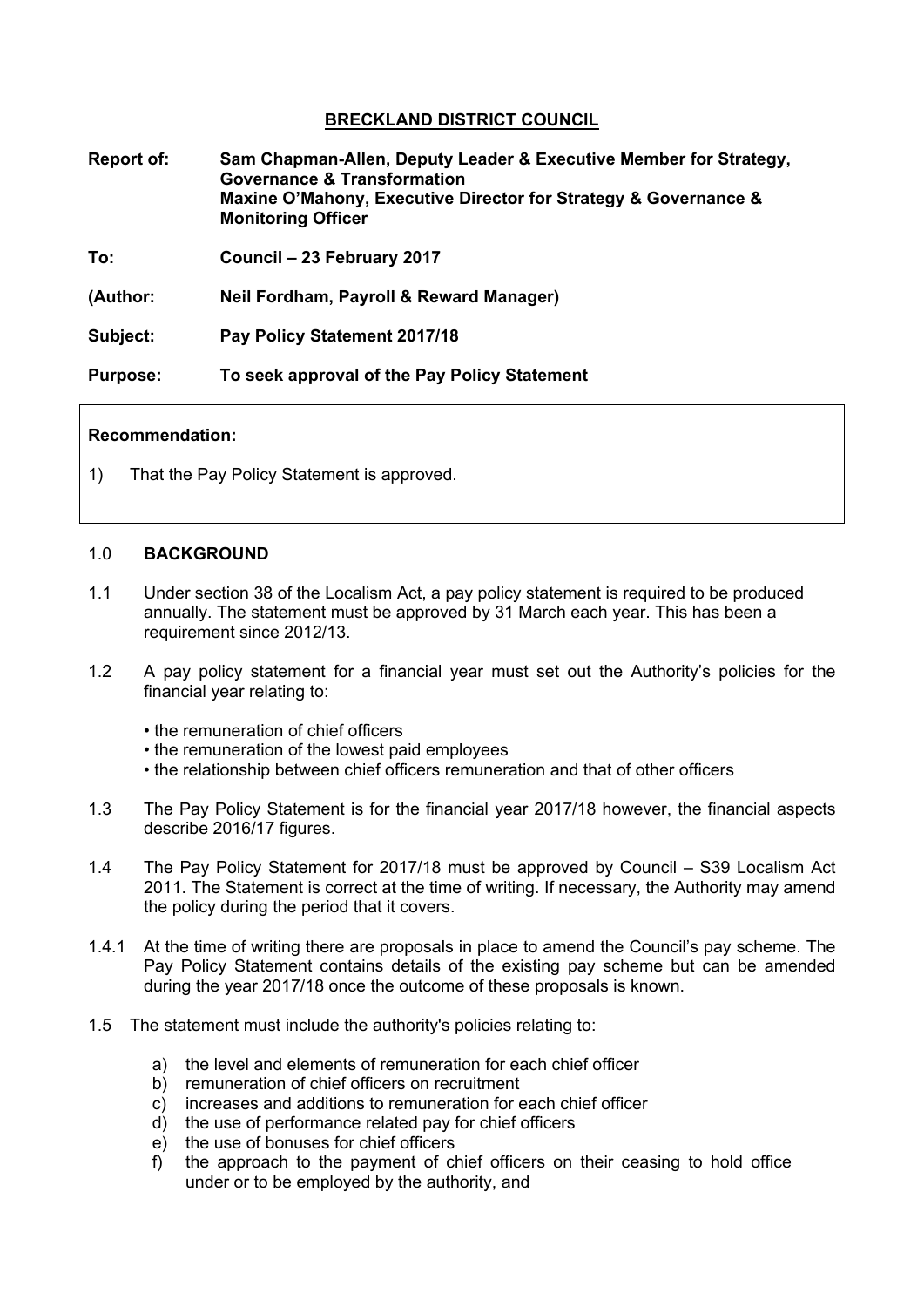## **BRECKLAND DISTRICT COUNCIL**

- **Report of: Sam Chapman-Allen, Deputy Leader & Executive Member for Strategy, Governance & Transformation Maxine O'Mahony, Executive Director for Strategy & Governance & Monitoring Officer**
- **To: Council – 23 February 2017**
- **(Author: Neil Fordham, Payroll & Reward Manager)**
- **Subject: Pay Policy Statement 2017/18**

**Purpose: To seek approval of the Pay Policy Statement**

#### **Recommendation:**

1) That the Pay Policy Statement is approved.

#### 1.0 **BACKGROUND**

- 1.1 Under section 38 of the Localism Act, a pay policy statement is required to be produced annually. The statement must be approved by 31 March each year. This has been a requirement since 2012/13.
- 1.2 A pay policy statement for a financial year must set out the Authority's policies for the financial year relating to:
	- the remuneration of chief officers
	- the remuneration of the lowest paid employees
	- the relationship between chief officers remuneration and that of other officers
- 1.3 The Pay Policy Statement is for the financial year 2017/18 however, the financial aspects describe 2016/17 figures.
- 1.4 The Pay Policy Statement for 2017/18 must be approved by Council S39 Localism Act 2011. The Statement is correct at the time of writing. If necessary, the Authority may amend the policy during the period that it covers.
- 1.4.1 At the time of writing there are proposals in place to amend the Council's pay scheme. The Pay Policy Statement contains details of the existing pay scheme but can be amended during the year 2017/18 once the outcome of these proposals is known.
- 1.5 The statement must include the authority's policies relating to:
	- a) the level and elements of remuneration for each chief officer
	- b) remuneration of chief officers on recruitment
	- c) increases and additions to remuneration for each chief officer
	- d) the use of performance related pay for chief officers
	- e) the use of bonuses for chief officers
	- f) the approach to the payment of chief officers on their ceasing to hold office under or to be employed by the authority, and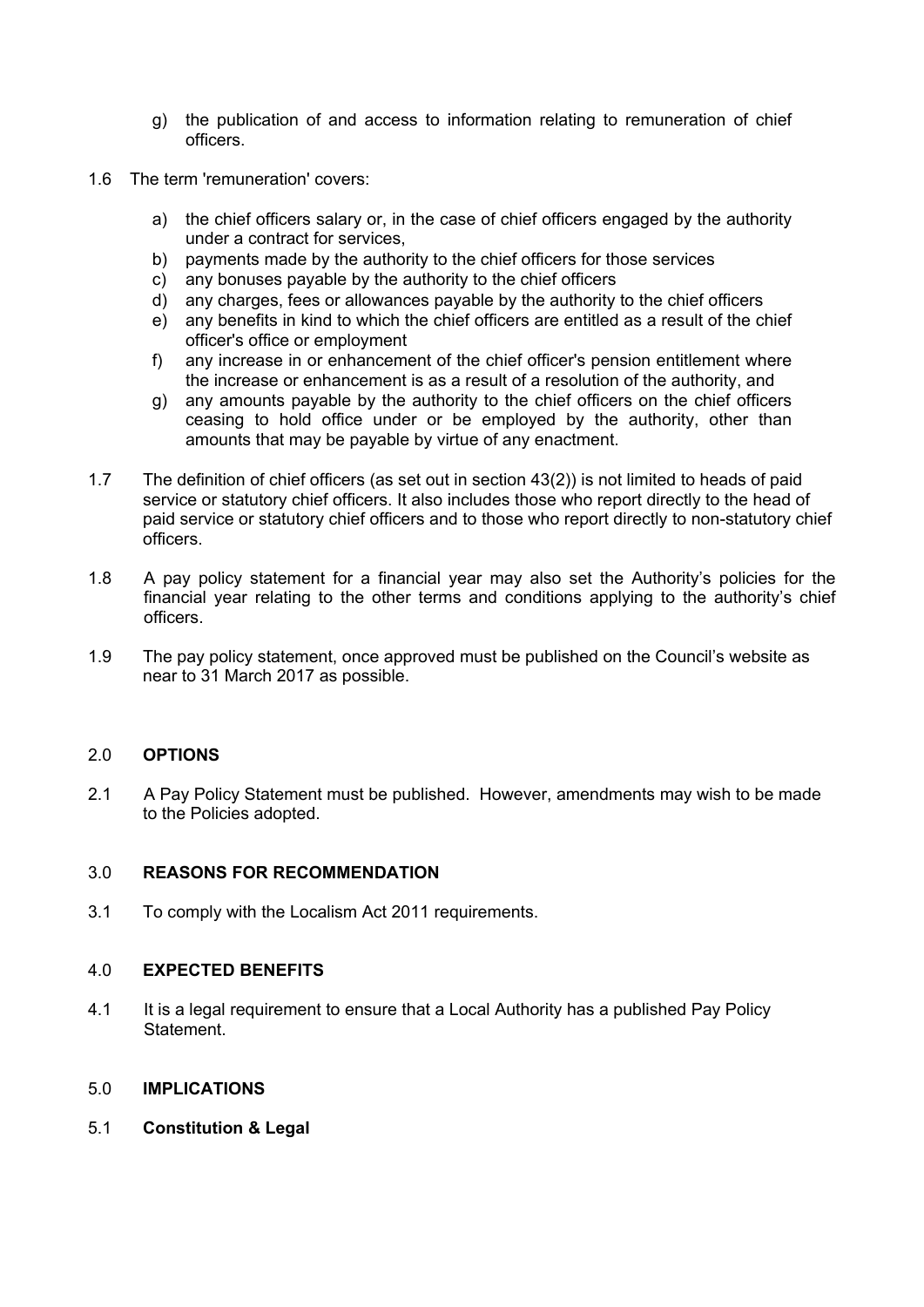- g) the publication of and access to information relating to remuneration of chief officers.
- 1.6 The term 'remuneration' covers:
	- a) the chief officers salary or, in the case of chief officers engaged by the authority under a contract for services,
	- b) payments made by the authority to the chief officers for those services
	- c) any bonuses payable by the authority to the chief officers
	- d) any charges, fees or allowances payable by the authority to the chief officers
	- e) any benefits in kind to which the chief officers are entitled as a result of the chief officer's office or employment
	- f) any increase in or enhancement of the chief officer's pension entitlement where the increase or enhancement is as a result of a resolution of the authority, and
	- g) any amounts payable by the authority to the chief officers on the chief officers ceasing to hold office under or be employed by the authority, other than amounts that may be payable by virtue of any enactment.
- 1.7 The definition of chief officers (as set out in section 43(2)) is not limited to heads of paid service or statutory chief officers. It also includes those who report directly to the head of paid service or statutory chief officers and to those who report directly to non-statutory chief officers.
- 1.8 A pay policy statement for a financial year may also set the Authority's policies for the financial year relating to the other terms and conditions applying to the authority's chief officers.
- 1.9 The pay policy statement, once approved must be published on the Council's website as near to 31 March 2017 as possible.

### 2.0 **OPTIONS**

2.1 A Pay Policy Statement must be published. However, amendments may wish to be made to the Policies adopted.

#### 3.0 **REASONS FOR RECOMMENDATION**

3.1 To comply with the Localism Act 2011 requirements.

#### 4.0 **EXPECTED BENEFITS**

- 4.1 It is a legal requirement to ensure that a Local Authority has a published Pay Policy **Statement**
- 5.0 **IMPLICATIONS**
- 5.1 **Constitution & Legal**